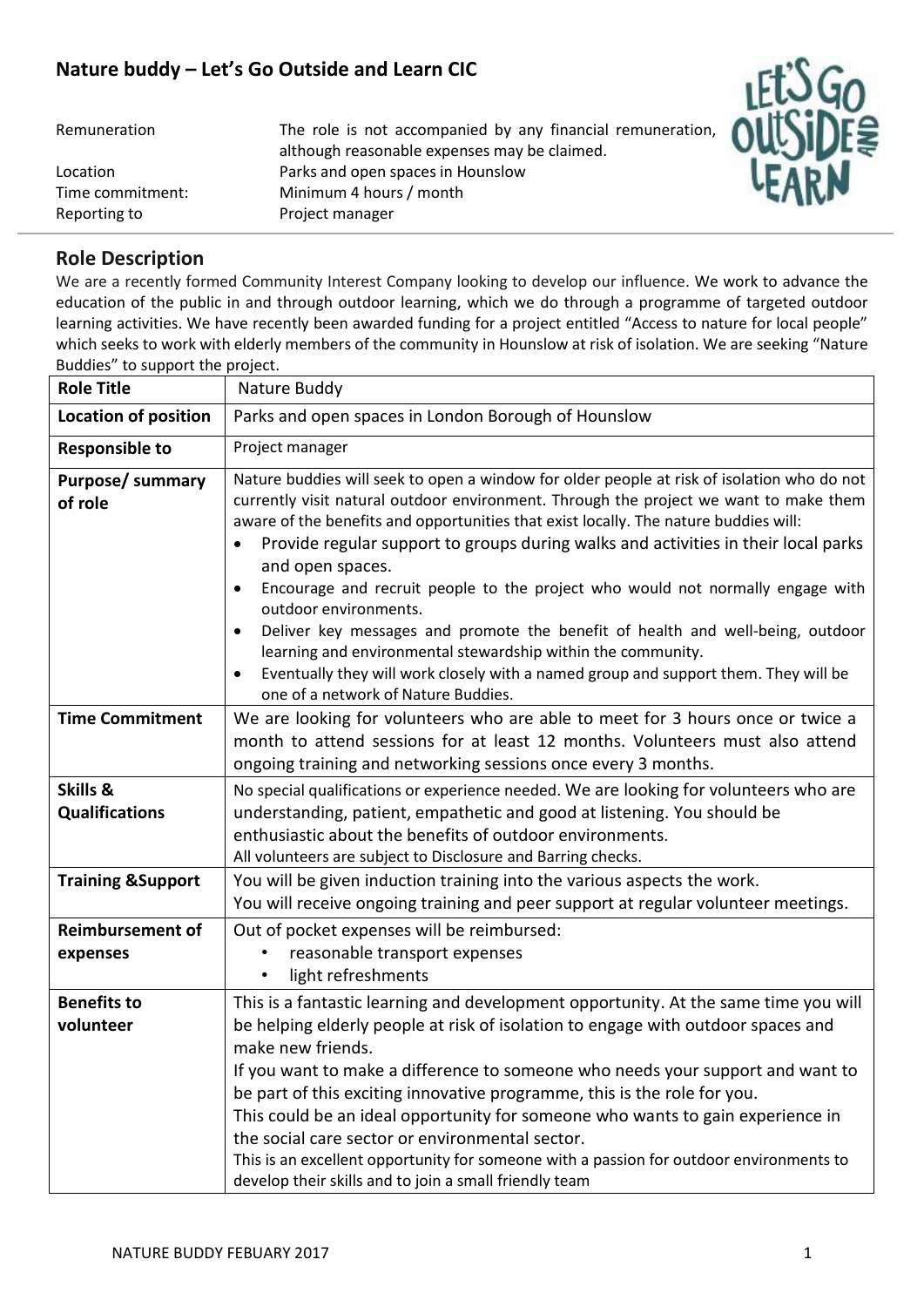## **Nature buddy – Let's Go Outside and Learn CIC**

| Nature buddy - Let's Go Outside and Learn CIC<br>Remuneration | The role is not accompanied by any financial remuneration,                                                                      |  |
|---------------------------------------------------------------|---------------------------------------------------------------------------------------------------------------------------------|--|
| Location<br>Time commitment:<br>Reporting to                  | although reasonable expenses may be claimed.<br>Parks and open spaces in Hounslow<br>Minimum 4 hours / month<br>Project manager |  |



We are a recently formed Community Interest Company looking to develop our influence. We work to advance the education of the public in and through outdoor learning, which we do through a programme of targeted outdoor learning activities. We have recently been awarded funding for a project entitled "Access to nature for local people" which seeks to work with elderly members of the community in Hounslow at risk of isolation. We are seeking "Nature Buddies" to support the project.

| <b>Role Title</b>                   | Nature Buddy                                                                                                                                                                                                                                                                                                                                                                                                                                                                                                                                                                                                                                                                                                                                                                     |
|-------------------------------------|----------------------------------------------------------------------------------------------------------------------------------------------------------------------------------------------------------------------------------------------------------------------------------------------------------------------------------------------------------------------------------------------------------------------------------------------------------------------------------------------------------------------------------------------------------------------------------------------------------------------------------------------------------------------------------------------------------------------------------------------------------------------------------|
| <b>Location of position</b>         | Parks and open spaces in London Borough of Hounslow                                                                                                                                                                                                                                                                                                                                                                                                                                                                                                                                                                                                                                                                                                                              |
| <b>Responsible to</b>               | Project manager                                                                                                                                                                                                                                                                                                                                                                                                                                                                                                                                                                                                                                                                                                                                                                  |
| <b>Purpose/ summary</b><br>of role  | Nature buddies will seek to open a window for older people at risk of isolation who do not<br>currently visit natural outdoor environment. Through the project we want to make them<br>aware of the benefits and opportunities that exist locally. The nature buddies will:<br>Provide regular support to groups during walks and activities in their local parks<br>and open spaces.<br>Encourage and recruit people to the project who would not normally engage with<br>outdoor environments.<br>Deliver key messages and promote the benefit of health and well-being, outdoor<br>learning and environmental stewardship within the community.<br>Eventually they will work closely with a named group and support them. They will be<br>one of a network of Nature Buddies. |
| <b>Time Commitment</b>              | We are looking for volunteers who are able to meet for 3 hours once or twice a<br>month to attend sessions for at least 12 months. Volunteers must also attend<br>ongoing training and networking sessions once every 3 months.                                                                                                                                                                                                                                                                                                                                                                                                                                                                                                                                                  |
| Skills &<br><b>Qualifications</b>   | No special qualifications or experience needed. We are looking for volunteers who are<br>understanding, patient, empathetic and good at listening. You should be<br>enthusiastic about the benefits of outdoor environments.<br>All volunteers are subject to Disclosure and Barring checks.                                                                                                                                                                                                                                                                                                                                                                                                                                                                                     |
| <b>Training &amp;Support</b>        | You will be given induction training into the various aspects the work.<br>You will receive ongoing training and peer support at regular volunteer meetings.                                                                                                                                                                                                                                                                                                                                                                                                                                                                                                                                                                                                                     |
| <b>Reimbursement of</b><br>expenses | Out of pocket expenses will be reimbursed:<br>reasonable transport expenses<br>light refreshments<br>$\bullet$                                                                                                                                                                                                                                                                                                                                                                                                                                                                                                                                                                                                                                                                   |
| <b>Benefits to</b><br>volunteer     | This is a fantastic learning and development opportunity. At the same time you will<br>be helping elderly people at risk of isolation to engage with outdoor spaces and<br>make new friends.<br>If you want to make a difference to someone who needs your support and want to<br>be part of this exciting innovative programme, this is the role for you.<br>This could be an ideal opportunity for someone who wants to gain experience in<br>the social care sector or environmental sector.<br>This is an excellent opportunity for someone with a passion for outdoor environments to<br>develop their skills and to join a small friendly team                                                                                                                             |